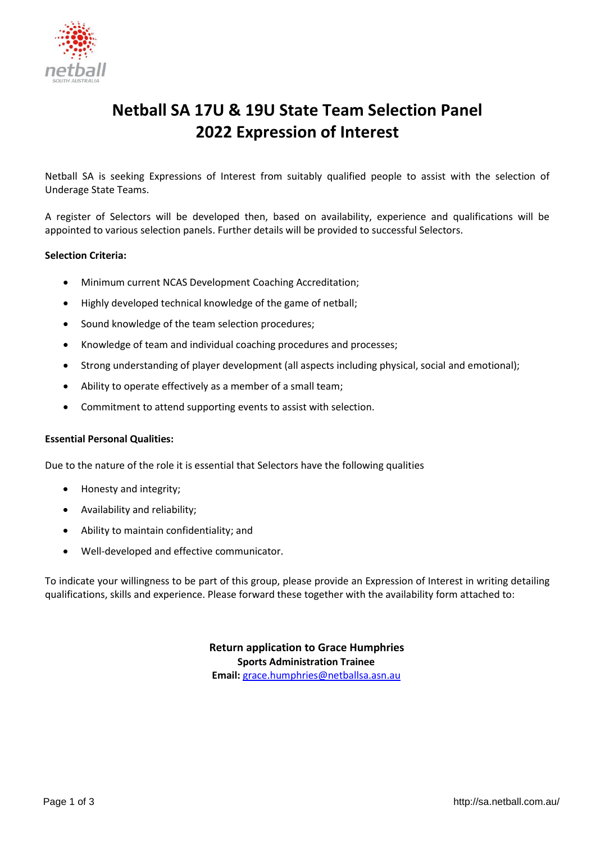

# **Netball SA 17U & 19U State Team Selection Panel 2022 Expression of Interest**

Netball SA is seeking Expressions of Interest from suitably qualified people to assist with the selection of Underage State Teams.

A register of Selectors will be developed then, based on availability, experience and qualifications will be appointed to various selection panels. Further details will be provided to successful Selectors.

#### **Selection Criteria:**

- Minimum current NCAS Development Coaching Accreditation;
- Highly developed technical knowledge of the game of netball;
- Sound knowledge of the team selection procedures;
- Knowledge of team and individual coaching procedures and processes;
- Strong understanding of player development (all aspects including physical, social and emotional);
- Ability to operate effectively as a member of a small team;
- Commitment to attend supporting events to assist with selection.

#### **Essential Personal Qualities:**

Due to the nature of the role it is essential that Selectors have the following qualities

- Honesty and integrity;
- Availability and reliability;
- Ability to maintain confidentiality; and
- Well-developed and effective communicator.

To indicate your willingness to be part of this group, please provide an Expression of Interest in writing detailing qualifications, skills and experience. Please forward these together with the availability form attached to:

> **Return application to Grace Humphries Sports Administration Trainee Email:** [grace.humphries@netballsa.asn.au](mailto:grace.humphries@netballsa.asn.au)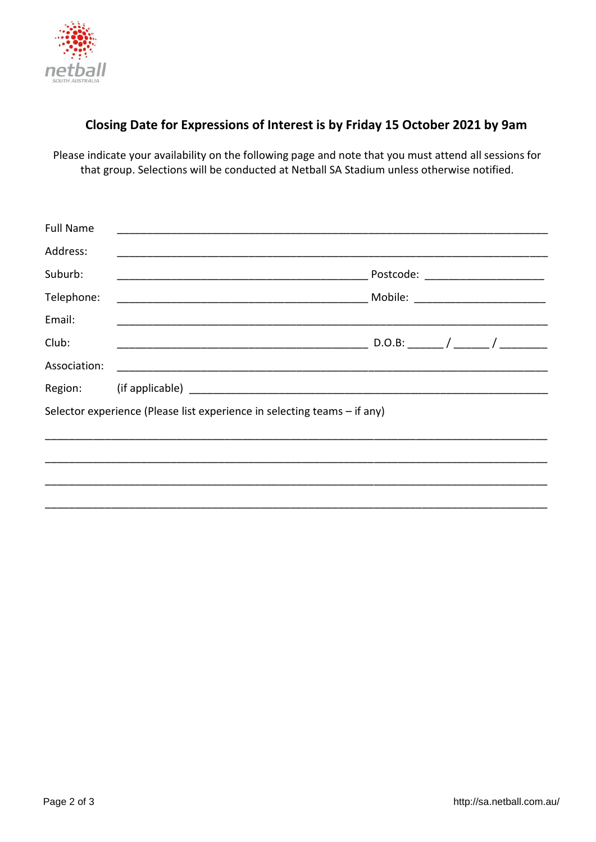

## **Closing Date for Expressions of Interest is by Friday 15 October 2021 by 9am**

Please indicate your availability on the following page and note that you must attend all sessions for that group. Selections will be conducted at Netball SA Stadium unless otherwise notified.

| <b>Full Name</b>                                                         |                                    |  |  |  |
|--------------------------------------------------------------------------|------------------------------------|--|--|--|
| Address:                                                                 |                                    |  |  |  |
| Suburb:                                                                  | Postcode: ________________________ |  |  |  |
| Telephone:                                                               |                                    |  |  |  |
| Email:                                                                   |                                    |  |  |  |
| Club:                                                                    |                                    |  |  |  |
| Association:                                                             |                                    |  |  |  |
|                                                                          |                                    |  |  |  |
| Selector experience (Please list experience in selecting teams – if any) |                                    |  |  |  |
|                                                                          |                                    |  |  |  |
|                                                                          |                                    |  |  |  |
|                                                                          |                                    |  |  |  |
|                                                                          |                                    |  |  |  |